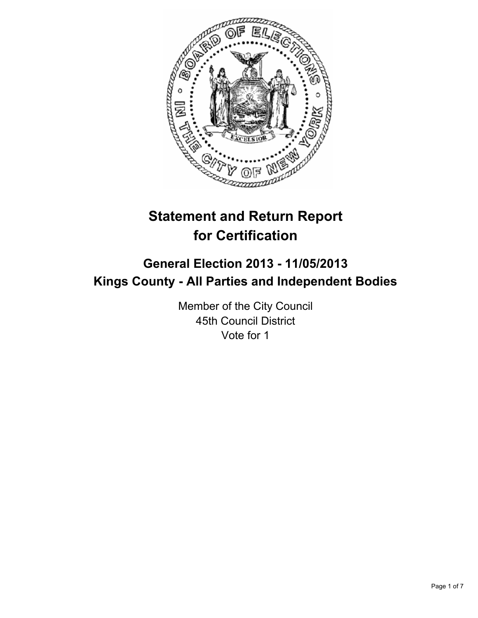

# **Statement and Return Report for Certification**

## **General Election 2013 - 11/05/2013 Kings County - All Parties and Independent Bodies**

Member of the City Council 45th Council District Vote for 1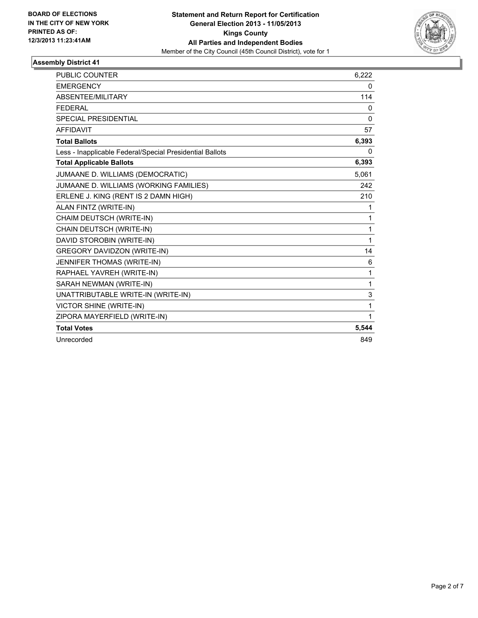

| <b>PUBLIC COUNTER</b>                                    | 6,222        |
|----------------------------------------------------------|--------------|
| <b>EMERGENCY</b>                                         | 0            |
| ABSENTEE/MILITARY                                        | 114          |
| <b>FFDFRAI</b>                                           | 0            |
| <b>SPECIAL PRESIDENTIAL</b>                              | $\Omega$     |
| <b>AFFIDAVIT</b>                                         | 57           |
| <b>Total Ballots</b>                                     | 6,393        |
| Less - Inapplicable Federal/Special Presidential Ballots | 0            |
| <b>Total Applicable Ballots</b>                          | 6,393        |
| JUMAANE D. WILLIAMS (DEMOCRATIC)                         | 5,061        |
| JUMAANE D. WILLIAMS (WORKING FAMILIES)                   | 242          |
| ERLENE J. KING (RENT IS 2 DAMN HIGH)                     | 210          |
| ALAN FINTZ (WRITE-IN)                                    | 1            |
| CHAIM DEUTSCH (WRITE-IN)                                 | 1            |
| CHAIN DEUTSCH (WRITE-IN)                                 | 1            |
| DAVID STOROBIN (WRITE-IN)                                | 1            |
| <b>GREGORY DAVIDZON (WRITE-IN)</b>                       | 14           |
| JENNIFER THOMAS (WRITE-IN)                               | 6            |
| RAPHAEL YAVREH (WRITE-IN)                                | 1            |
| SARAH NEWMAN (WRITE-IN)                                  | $\mathbf{1}$ |
| UNATTRIBUTABLE WRITE-IN (WRITE-IN)                       | 3            |
| VICTOR SHINE (WRITE-IN)                                  | 1            |
| ZIPORA MAYERFIELD (WRITE-IN)                             | $\mathbf{1}$ |
| <b>Total Votes</b>                                       | 5,544        |
| Unrecorded                                               | 849          |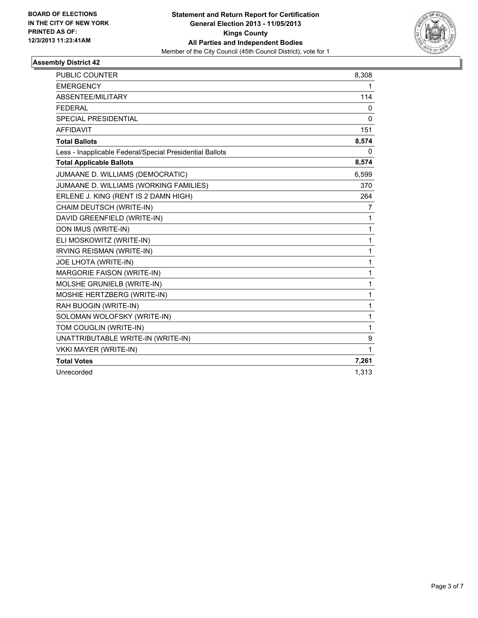

| <b>PUBLIC COUNTER</b>                                    | 8,308        |
|----------------------------------------------------------|--------------|
| <b>EMERGENCY</b>                                         | 1            |
| ABSENTEE/MILITARY                                        | 114          |
| <b>FEDERAL</b>                                           | 0            |
| SPECIAL PRESIDENTIAL                                     | 0            |
| <b>AFFIDAVIT</b>                                         | 151          |
| <b>Total Ballots</b>                                     | 8,574        |
| Less - Inapplicable Federal/Special Presidential Ballots | 0            |
| <b>Total Applicable Ballots</b>                          | 8,574        |
| JUMAANE D. WILLIAMS (DEMOCRATIC)                         | 6,599        |
| JUMAANE D. WILLIAMS (WORKING FAMILIES)                   | 370          |
| ERLENE J. KING (RENT IS 2 DAMN HIGH)                     | 264          |
| CHAIM DEUTSCH (WRITE-IN)                                 | 7            |
| DAVID GREENFIELD (WRITE-IN)                              | 1            |
| DON IMUS (WRITE-IN)                                      | 1            |
| ELI MOSKOWITZ (WRITE-IN)                                 | 1            |
| IRVING REISMAN (WRITE-IN)                                | $\mathbf{1}$ |
| JOE LHOTA (WRITE-IN)                                     | 1            |
| MARGORIE FAISON (WRITE-IN)                               | 1            |
| MOLSHE GRUNIELB (WRITE-IN)                               | 1            |
| MOSHIE HERTZBERG (WRITE-IN)                              | 1            |
| RAH BUOGIN (WRITE-IN)                                    | $\mathbf{1}$ |
| SOLOMAN WOLOFSKY (WRITE-IN)                              | 1            |
| TOM COUGLIN (WRITE-IN)                                   | 1            |
| UNATTRIBUTABLE WRITE-IN (WRITE-IN)                       | 9            |
| <b>VKKI MAYER (WRITE-IN)</b>                             | $\mathbf{1}$ |
| <b>Total Votes</b>                                       | 7,261        |
| Unrecorded                                               | 1,313        |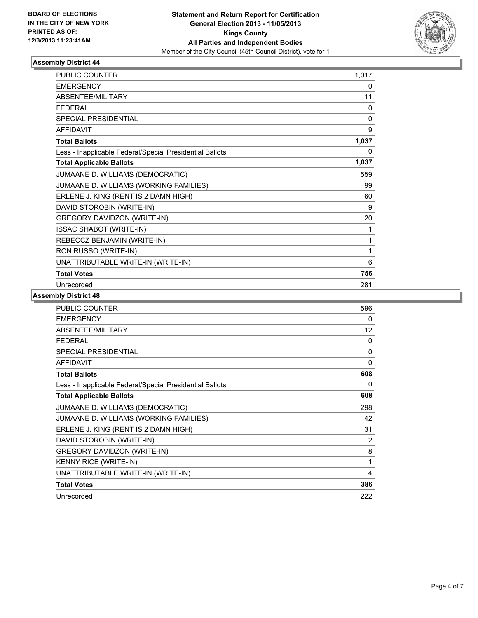

| <b>PUBLIC COUNTER</b>                                    | 1,017        |
|----------------------------------------------------------|--------------|
| <b>EMERGENCY</b>                                         | 0            |
| <b>ABSENTEE/MILITARY</b>                                 | 11           |
| <b>FFDFRAI</b>                                           | 0            |
| <b>SPECIAL PRESIDENTIAL</b>                              | $\mathbf{0}$ |
| <b>AFFIDAVIT</b>                                         | 9            |
| <b>Total Ballots</b>                                     | 1,037        |
| Less - Inapplicable Federal/Special Presidential Ballots | $\Omega$     |
| <b>Total Applicable Ballots</b>                          | 1,037        |
| JUMAANE D. WILLIAMS (DEMOCRATIC)                         | 559          |
| JUMAANE D. WILLIAMS (WORKING FAMILIES)                   | 99           |
| ERLENE J. KING (RENT IS 2 DAMN HIGH)                     | 60           |
| DAVID STOROBIN (WRITE-IN)                                | 9            |
| <b>GREGORY DAVIDZON (WRITE-IN)</b>                       | 20           |
| <b>ISSAC SHABOT (WRITE-IN)</b>                           | 1            |
| REBECCZ BENJAMIN (WRITE-IN)                              | 1            |
| RON RUSSO (WRITE-IN)                                     | 1            |
| UNATTRIBUTABLE WRITE-IN (WRITE-IN)                       | 6            |
| <b>Total Votes</b>                                       | 756          |
| Unrecorded                                               | 281          |

| <b>PUBLIC COUNTER</b>                                    | 596 |
|----------------------------------------------------------|-----|
| <b>EMERGENCY</b>                                         | 0   |
| ABSENTEE/MILITARY                                        | 12  |
| <b>FEDERAL</b>                                           | 0   |
| <b>SPECIAL PRESIDENTIAL</b>                              | 0   |
| <b>AFFIDAVIT</b>                                         | 0   |
| <b>Total Ballots</b>                                     | 608 |
| Less - Inapplicable Federal/Special Presidential Ballots | 0   |
| <b>Total Applicable Ballots</b>                          | 608 |
| JUMAANE D. WILLIAMS (DEMOCRATIC)                         | 298 |
| JUMAANE D. WILLIAMS (WORKING FAMILIES)                   | 42  |
| ERLENE J. KING (RENT IS 2 DAMN HIGH)                     | 31  |
| DAVID STOROBIN (WRITE-IN)                                | 2   |
| <b>GREGORY DAVIDZON (WRITE-IN)</b>                       | 8   |
| <b>KENNY RICE (WRITE-IN)</b>                             | 1   |
| UNATTRIBUTABLE WRITE-IN (WRITE-IN)                       | 4   |
| <b>Total Votes</b>                                       | 386 |
| Unrecorded                                               | 222 |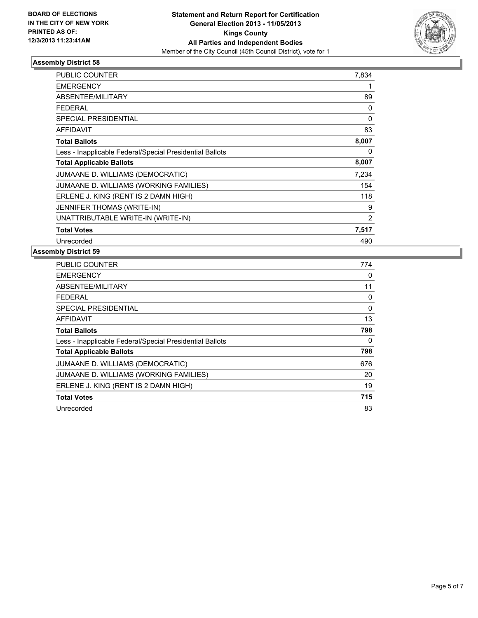

| <b>PUBLIC COUNTER</b>                                    | 7,834          |
|----------------------------------------------------------|----------------|
| <b>EMERGENCY</b>                                         | 1              |
| <b>ABSENTEE/MILITARY</b>                                 | 89             |
| <b>FEDERAL</b>                                           | 0              |
| <b>SPECIAL PRESIDENTIAL</b>                              | $\Omega$       |
| <b>AFFIDAVIT</b>                                         | 83             |
| <b>Total Ballots</b>                                     | 8,007          |
| Less - Inapplicable Federal/Special Presidential Ballots | 0              |
| <b>Total Applicable Ballots</b>                          | 8,007          |
| JUMAANE D. WILLIAMS (DEMOCRATIC)                         | 7,234          |
| JUMAANE D. WILLIAMS (WORKING FAMILIES)                   | 154            |
| ERLENE J. KING (RENT IS 2 DAMN HIGH)                     | 118            |
| <b>JENNIFER THOMAS (WRITE-IN)</b>                        | 9              |
| UNATTRIBUTABLE WRITE-IN (WRITE-IN)                       | $\overline{2}$ |
| <b>Total Votes</b>                                       | 7,517          |
| Unrecorded                                               | 490            |

| <b>PUBLIC COUNTER</b>                                    | 774 |
|----------------------------------------------------------|-----|
| <b>EMERGENCY</b>                                         | 0   |
| ABSENTEE/MILITARY                                        | 11  |
| <b>FEDERAL</b>                                           | 0   |
| SPECIAL PRESIDENTIAL                                     | 0   |
| <b>AFFIDAVIT</b>                                         | 13  |
| <b>Total Ballots</b>                                     | 798 |
| Less - Inapplicable Federal/Special Presidential Ballots | 0   |
| <b>Total Applicable Ballots</b>                          | 798 |
| JUMAANE D. WILLIAMS (DEMOCRATIC)                         | 676 |
| JUMAANE D. WILLIAMS (WORKING FAMILIES)                   | 20  |
| ERLENE J. KING (RENT IS 2 DAMN HIGH)                     | 19  |
| <b>Total Votes</b>                                       | 715 |
| Unrecorded                                               | 83  |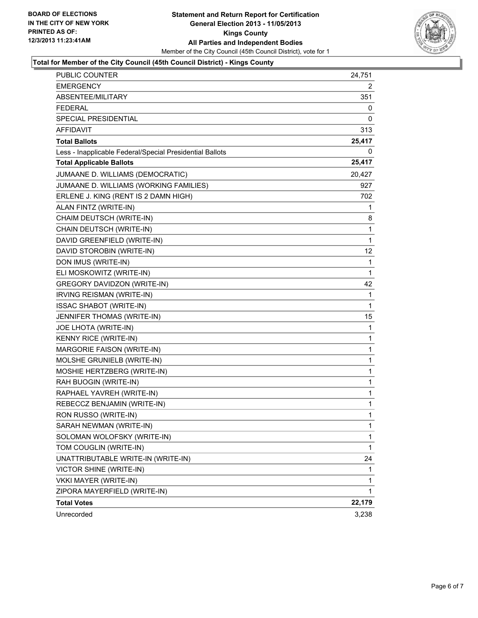

#### **Total for Member of the City Council (45th Council District) - Kings County**

| <b>PUBLIC COUNTER</b>                                    | 24,751       |
|----------------------------------------------------------|--------------|
| <b>EMERGENCY</b>                                         | 2            |
| ABSENTEE/MILITARY                                        | 351          |
| FEDERAL                                                  | 0            |
| SPECIAL PRESIDENTIAL                                     | 0            |
| AFFIDAVIT                                                | 313          |
| <b>Total Ballots</b>                                     | 25,417       |
| Less - Inapplicable Federal/Special Presidential Ballots | 0            |
| <b>Total Applicable Ballots</b>                          | 25,417       |
| JUMAANE D. WILLIAMS (DEMOCRATIC)                         | 20,427       |
| JUMAANE D. WILLIAMS (WORKING FAMILIES)                   | 927          |
| ERLENE J. KING (RENT IS 2 DAMN HIGH)                     | 702          |
| ALAN FINTZ (WRITE-IN)                                    | 1            |
| CHAIM DEUTSCH (WRITE-IN)                                 | 8            |
| CHAIN DEUTSCH (WRITE-IN)                                 | 1            |
| DAVID GREENFIELD (WRITE-IN)                              | 1            |
| DAVID STOROBIN (WRITE-IN)                                | 12           |
| DON IMUS (WRITE-IN)                                      | 1            |
| ELI MOSKOWITZ (WRITE-IN)                                 | 1            |
| <b>GREGORY DAVIDZON (WRITE-IN)</b>                       | 42           |
| <b>IRVING REISMAN (WRITE-IN)</b>                         | 1            |
| <b>ISSAC SHABOT (WRITE-IN)</b>                           | 1            |
| JENNIFER THOMAS (WRITE-IN)                               | 15           |
| JOE LHOTA (WRITE-IN)                                     | 1            |
| KENNY RICE (WRITE-IN)                                    | 1            |
| MARGORIE FAISON (WRITE-IN)                               | 1            |
| MOLSHE GRUNIELB (WRITE-IN)                               | 1            |
| MOSHIE HERTZBERG (WRITE-IN)                              | 1            |
| RAH BUOGIN (WRITE-IN)                                    | 1            |
| RAPHAEL YAVREH (WRITE-IN)                                | $\mathbf{1}$ |
| REBECCZ BENJAMIN (WRITE-IN)                              | 1            |
| RON RUSSO (WRITE-IN)                                     | 1            |
| SARAH NEWMAN (WRITE-IN)                                  | 1            |
| SOLOMAN WOLOFSKY (WRITE-IN)                              | 1            |
| TOM COUGLIN (WRITE-IN)                                   | 1            |
| UNATTRIBUTABLE WRITE-IN (WRITE-IN)                       | 24           |
| VICTOR SHINE (WRITE-IN)                                  | 1            |
| VKKI MAYER (WRITE-IN)                                    | 1            |
| ZIPORA MAYERFIELD (WRITE-IN)                             | 1            |
| <b>Total Votes</b>                                       | 22,179       |
| Unrecorded                                               | 3,238        |